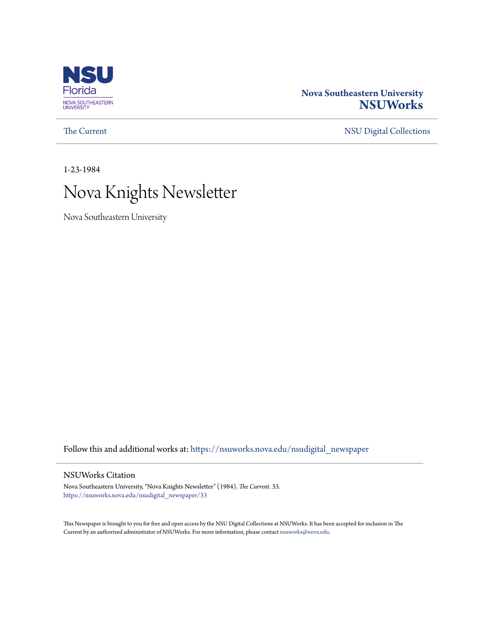

## **Nova Southeastern University [NSUWorks](https://nsuworks.nova.edu?utm_source=nsuworks.nova.edu%2Fnsudigital_newspaper%2F33&utm_medium=PDF&utm_campaign=PDFCoverPages)**

[The Current](https://nsuworks.nova.edu/nsudigital_newspaper?utm_source=nsuworks.nova.edu%2Fnsudigital_newspaper%2F33&utm_medium=PDF&utm_campaign=PDFCoverPages) [NSU Digital Collections](https://nsuworks.nova.edu/nsudigital?utm_source=nsuworks.nova.edu%2Fnsudigital_newspaper%2F33&utm_medium=PDF&utm_campaign=PDFCoverPages)

1-23-1984

# Nova Knights Newsletter

Nova Southeastern University

Follow this and additional works at: [https://nsuworks.nova.edu/nsudigital\\_newspaper](https://nsuworks.nova.edu/nsudigital_newspaper?utm_source=nsuworks.nova.edu%2Fnsudigital_newspaper%2F33&utm_medium=PDF&utm_campaign=PDFCoverPages)

#### NSUWorks Citation

Nova Southeastern University, "Nova Knights Newsletter" (1984). *The Current*. 33. [https://nsuworks.nova.edu/nsudigital\\_newspaper/33](https://nsuworks.nova.edu/nsudigital_newspaper/33?utm_source=nsuworks.nova.edu%2Fnsudigital_newspaper%2F33&utm_medium=PDF&utm_campaign=PDFCoverPages)

This Newspaper is brought to you for free and open access by the NSU Digital Collections at NSUWorks. It has been accepted for inclusion in The Current by an authorized administrator of NSUWorks. For more information, please contact [nsuworks@nova.edu.](mailto:nsuworks@nova.edu)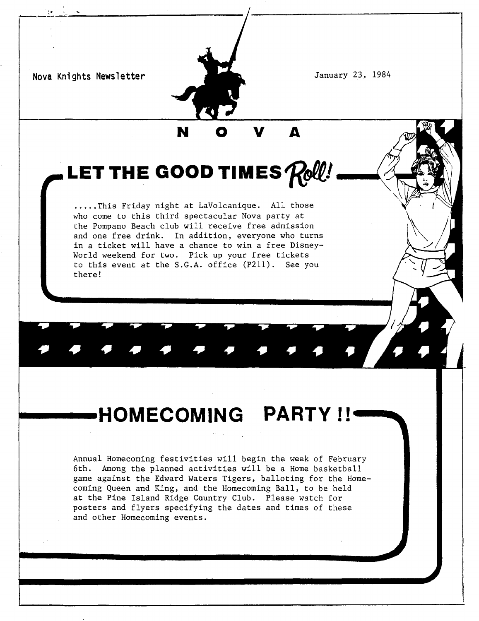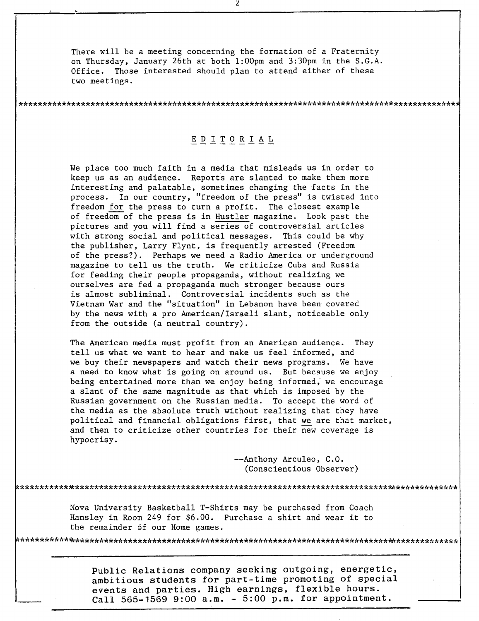There will be a meeting concerning the formation of a Fraternity on Thursday, January 26th at both 1:00pm and 3:30pm in the S.G.A. Office. Those interested should plan to attend either of these two meetings.

### E D ITO R I A L

\*\*\*\*\*\*\*\*\*\*\*\*\*\*\*\*\*\*\*\*\*\*\*\*\*\*\*\*\*\*\*\*\*\*\*\*\*\*\*\*\*\*\*\*\*\*\*\*\*\*\*\*\*\*\*\*\*\*\*\*\*\*\*\*\*\*\*\*\*\*\*\*\*\*\*\*\*\*\*\*\*\*\*\*\*\*\*\*\*\*\*

We place too much faith in a media that misleads us in order to keep us as an audience. Reports are slanted to make them more interesting and palatable, sometimes changing the facts in the process. In our country, "freedom of the press" is twisted into freedom for the press to turn a profit. The closest example of freedom of the press is in Hustler magazine. Look past the pictures and you will find a series of controversial articles with strong social and political messages. This could be why the publisher, Larry Flynt, is frequently arrested (Freedom of the press?). Perhaps we need a Radio America or underground magazine to tell us the truth. We criticize Cuba and Russia for feeding their people propaganda, without realizing we ourselves are fed a propaganda much stronger because ours is almost subliminal. Controversial incidents such as the Vietnam War and the "situation" in Lebanon have been covered by the news with a pro American/Israeli slant, noticeable only from the outside (a neutral country).

The American media must profit from an American audience. They tell uS what we want to hear and make us feel informed, and we buy their newspapers and watch their news programs. We have a need to know what is going on around us. But because we enjoy being entertained more than we enjoy being informed, we encourage a slant of the same magnitude as that which is imposed by the Russian government on the Russian media. To accept the word of the media as the absolute truth without realizing that they have political and financial obligations first, that we are that market, and then to criticize other countries for their new coverage is hypocrisy.

> --Anthony Arculeo, C.O. (Conscientious Observer)

Nova University Basketball T-Shirts may be purchased from Coach Hansley in Room <sup>249</sup> for \$6.00. Purchase <sup>a</sup> shirt and wear it to the remainder 6f our Home games.

\*\*\*\*\*\*\*\*\*\*\*\*\*\*\*\*\*\*\*\*\*\*\*\*\*\*\*\*\*\*\*\*\*\*\*\*\*\*\*\*\*\*\*\*\*\*\*\*\*\*\*\*\*\*\*\*\*\*\*\*\*\*\*\*\*\*\*\*\*\*\*\*\*\*\*\*\*\*\*\*\*\*\*\*\*\*\*\*\*\*\*

\*\*\*\*\*\*\*\*\*\*~\*\*\*\*\*\*\*\*\*\*\*\*\*\*\*\*\*\*\*\*\*\*\*\*\*\*\*\*\*\*\*\*\*\*\*\*\*\*\*\*\*\*\*\*\*\*\*\*\*\*\*\*\*\*\*\*\*\*\*\*\*\*\*\*\*\*\*\*\*\*\*\*\*\*\*\*\*\*\*\*

Public Relations company seeking outgoing, energetic, ambitious students for part-time promoting of special events and parties. High earnings, flexible hours. Call 565-1569 9:00 a.m. - 5:00 p.m. for appointment.

 $\overline{z}$